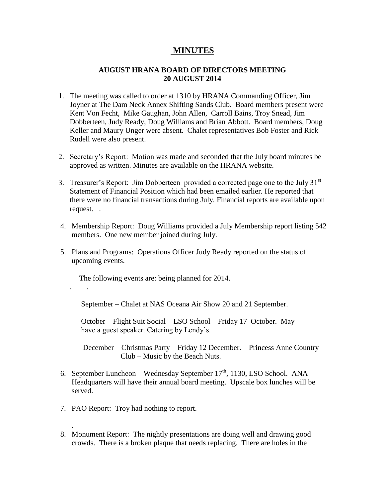## **MINUTES**

## **AUGUST HRANA BOARD OF DIRECTORS MEETING 20 AUGUST 2014**

- 1. The meeting was called to order at 1310 by HRANA Commanding Officer, Jim Joyner at The Dam Neck Annex Shifting Sands Club. Board members present were Kent Von Fecht, Mike Gaughan, John Allen, Carroll Bains, Troy Snead, Jim Dobberteen, Judy Ready, Doug Williams and Brian Abbott. Board members, Doug Keller and Maury Unger were absent. Chalet representatives Bob Foster and Rick Rudell were also present.
- 2. Secretary's Report: Motion was made and seconded that the July board minutes be approved as written. Minutes are available on the HRANA website.
- 3. Treasurer's Report: Jim Dobberteen provided a corrected page one to the July 31<sup>st</sup> Statement of Financial Position which had been emailed earlier. He reported that there were no financial transactions during July. Financial reports are available upon request. .
- 4. Membership Report: Doug Williams provided a July Membership report listing 542 members. One new member joined during July.
- 5. Plans and Programs: Operations Officer Judy Ready reported on the status of upcoming events.

The following events are: being planned for 2014.

September – Chalet at NAS Oceana Air Show 20 and 21 September.

 October – Flight Suit Social – LSO School – Friday 17 October. May have a guest speaker. Catering by Lendy's.

 December – Christmas Party – Friday 12 December. – Princess Anne Country Club – Music by the Beach Nuts.

- 6. September Luncheon Wednesday September  $17<sup>th</sup>$ , 1130, LSO School. ANA Headquarters will have their annual board meeting. Upscale box lunches will be served.
- 7. PAO Report: Troy had nothing to report.

. .

.

8. Monument Report: The nightly presentations are doing well and drawing good crowds. There is a broken plaque that needs replacing. There are holes in the